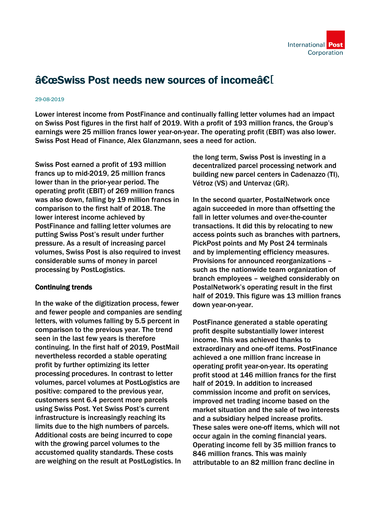

# "Swiss Post needs new sources of incomeâ€[

### 29-08-2019

Lower interest income from PostFinance and continually falling letter volumes had an impact on Swiss Post figures in the first half of 2019. With a profit of 193 million francs, the Group's earnings were 25 million francs lower year-on-year. The operating profit (EBIT) was also lower. Swiss Post Head of Finance, Alex Glanzmann, sees a need for action.

Swiss Post earned a profit of 193 million francs up to mid-2019, 25 million francs lower than in the prior-year period. The operating profit (EBIT) of 269 million francs was also down, falling by 19 million francs in comparison to the first half of 2018. The lower interest income achieved by PostFinance and falling letter volumes are putting Swiss Post's result under further pressure. As a result of increasing parcel volumes, Swiss Post is also required to invest considerable sums of money in parcel processing by PostLogistics.

## Continuing trends

In the wake of the digitization process, fewer and fewer people and companies are sending letters, with volumes falling by 5.5 percent in comparison to the previous year. The trend seen in the last few years is therefore continuing. In the first half of 2019, PostMail nevertheless recorded a stable operating profit by further optimizing its letter processing procedures. In contrast to letter volumes, parcel volumes at PostLogistics are positive: compared to the previous year, customers sent 6.4 percent more parcels using Swiss Post. Yet Swiss Post's current infrastructure is increasingly reaching its limits due to the high numbers of parcels. Additional costs are being incurred to cope with the growing parcel volumes to the accustomed quality standards. These costs are weighing on the result at PostLogistics. In

the long term, Swiss Post is investing in a decentralized parcel processing network and building new parcel centers in Cadenazzo (TI), Vétroz (VS) and Untervaz (GR).

In the second quarter, PostalNetwork once again succeeded in more than offsetting the fall in letter volumes and over-the-counter transactions. It did this by relocating to new access points such as branches with partners, PickPost points and My Post 24 terminals and by implementing efficiency measures. Provisions for announced reorganizations – such as the nationwide team organization of branch employees – weighed considerably on PostalNetwork's operating result in the first half of 2019. This figure was 13 million francs down year-on-year.

PostFinance generated a stable operating profit despite substantially lower interest income. This was achieved thanks to extraordinary and one-off items. PostFinance achieved a one million franc increase in operating profit year-on-year. Its operating profit stood at 146 million francs for the first half of 2019. In addition to increased commission income and profit on services, improved net trading income based on the market situation and the sale of two interests and a subsidiary helped increase profits. These sales were one-off items, which will not occur again in the coming financial years. Operating income fell by 35 million francs to 846 million francs. This was mainly attributable to an 82 million franc decline in